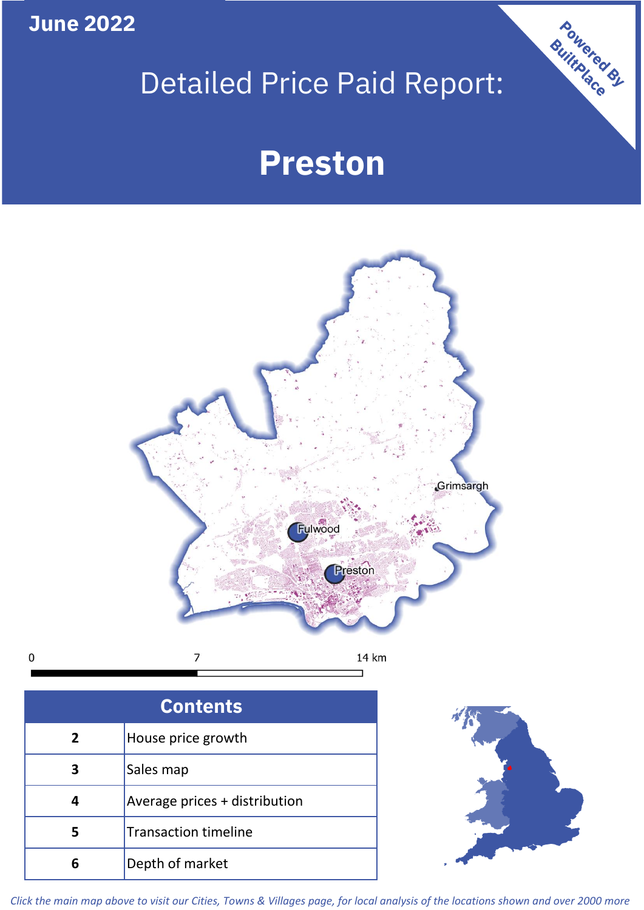**June 2022**

**5**

Transaction timeline

**6** Depth of market

# Detailed Price Paid Report:

Powered By

# **Preston**



*Click the main map above to visit our Cities, Towns & Villages page, for local analysis of the locations shown and over 2000 more*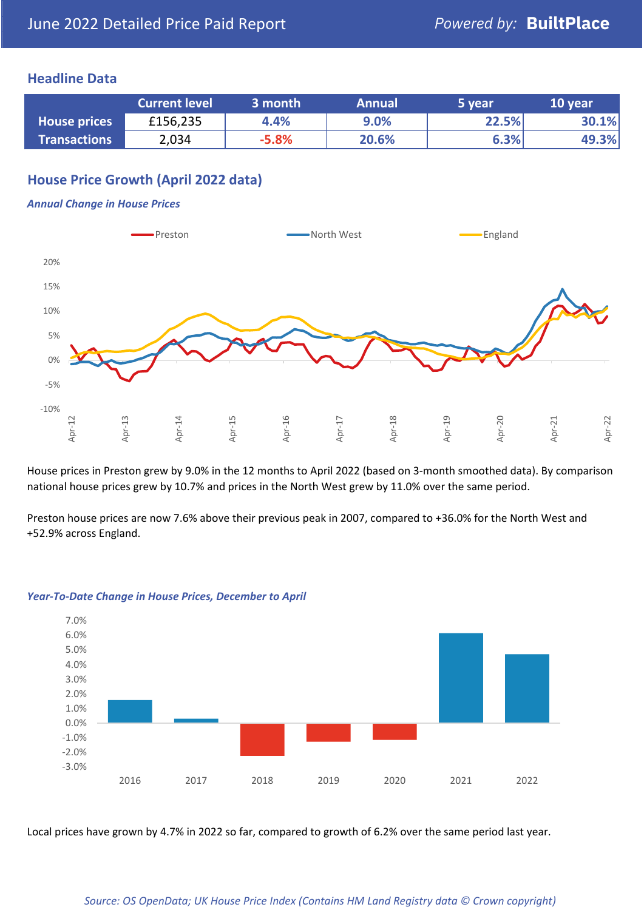### **Headline Data**

|                     | <b>Current level</b> | 3 month | <b>Annual</b> | 5 year | 10 year |
|---------------------|----------------------|---------|---------------|--------|---------|
| <b>House prices</b> | £156,235             | 4.4%    | 9.0%          | 22.5%  | 30.1%   |
| <b>Transactions</b> | 2,034                | $-5.8%$ | 20.6%         | 6.3%   | 49.3%   |

# **House Price Growth (April 2022 data)**

#### *Annual Change in House Prices*



House prices in Preston grew by 9.0% in the 12 months to April 2022 (based on 3-month smoothed data). By comparison national house prices grew by 10.7% and prices in the North West grew by 11.0% over the same period.

Preston house prices are now 7.6% above their previous peak in 2007, compared to +36.0% for the North West and +52.9% across England.



#### *Year-To-Date Change in House Prices, December to April*

Local prices have grown by 4.7% in 2022 so far, compared to growth of 6.2% over the same period last year.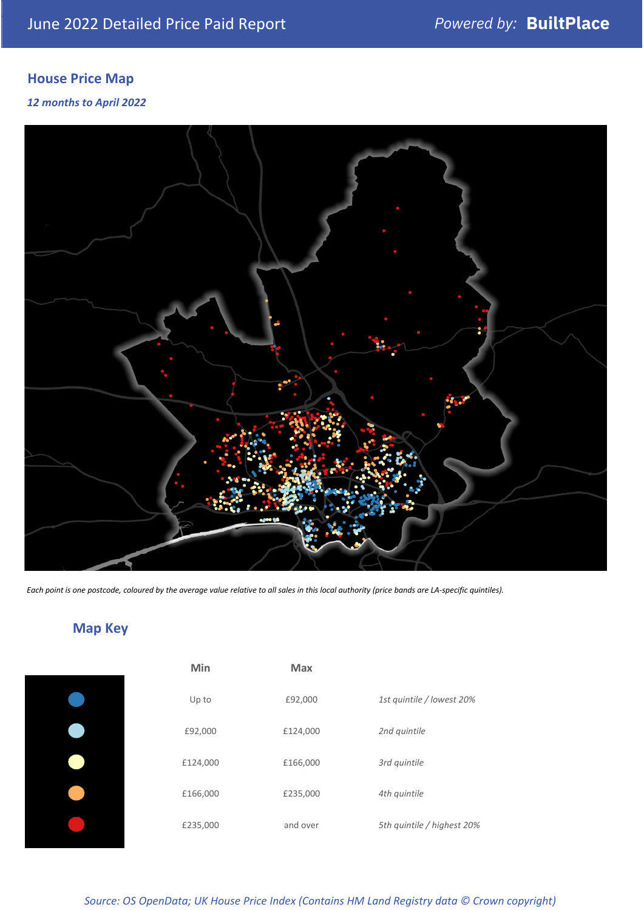# **House Price Map**

### *12 months to April 2022*



*Each point is one postcode, coloured by the average value relative to all sales in this local authority (price bands are LA-specific quintiles).*

# **Map Key**

| 1st quintile / lowest 20%  |
|----------------------------|
|                            |
|                            |
|                            |
| 5th quintile / highest 20% |
|                            |

# *Source: OS OpenData; UK House Price Index (Contains HM Land Registry data © Crown copyright)*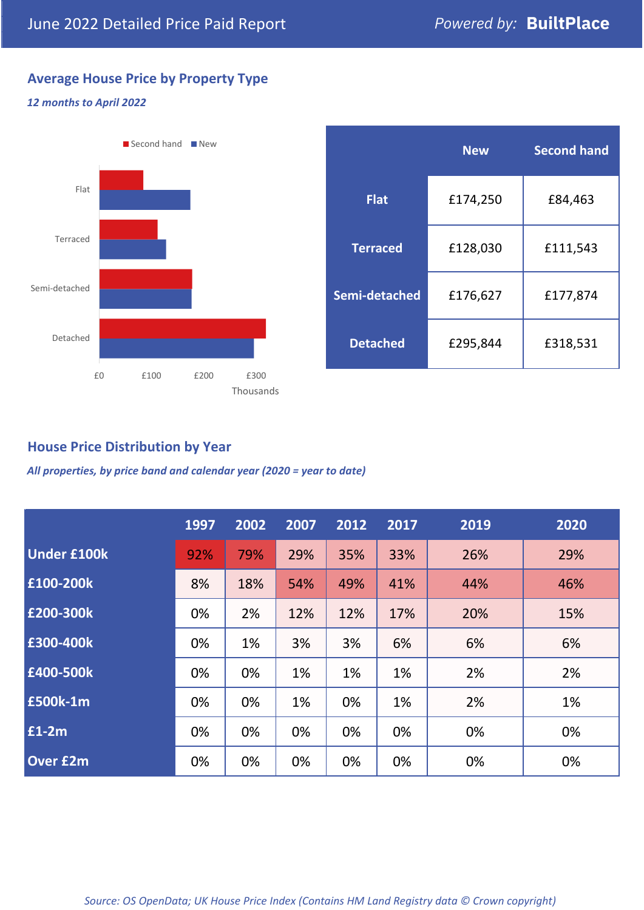# **Average House Price by Property Type**

#### *12 months to April 2022*



|                 | <b>New</b> | <b>Second hand</b> |  |  |
|-----------------|------------|--------------------|--|--|
| <b>Flat</b>     | £174,250   | £84,463            |  |  |
| <b>Terraced</b> | £128,030   | £111,543           |  |  |
| Semi-detached   | £176,627   | £177,874           |  |  |
| <b>Detached</b> | £295,844   | £318,531           |  |  |

# **House Price Distribution by Year**

*All properties, by price band and calendar year (2020 = year to date)*

|                    | 1997 | 2002 | 2007 | 2012 | 2017 | 2019 | 2020 |
|--------------------|------|------|------|------|------|------|------|
| <b>Under £100k</b> | 92%  | 79%  | 29%  | 35%  | 33%  | 26%  | 29%  |
| £100-200k          | 8%   | 18%  | 54%  | 49%  | 41%  | 44%  | 46%  |
| E200-300k          | 0%   | 2%   | 12%  | 12%  | 17%  | 20%  | 15%  |
| £300-400k          | 0%   | 1%   | 3%   | 3%   | 6%   | 6%   | 6%   |
| £400-500k          | 0%   | 0%   | 1%   | 1%   | 1%   | 2%   | 2%   |
| <b>£500k-1m</b>    | 0%   | 0%   | 1%   | 0%   | 1%   | 2%   | 1%   |
| £1-2m              | 0%   | 0%   | 0%   | 0%   | 0%   | 0%   | 0%   |
| <b>Over £2m</b>    | 0%   | 0%   | 0%   | 0%   | 0%   | 0%   | 0%   |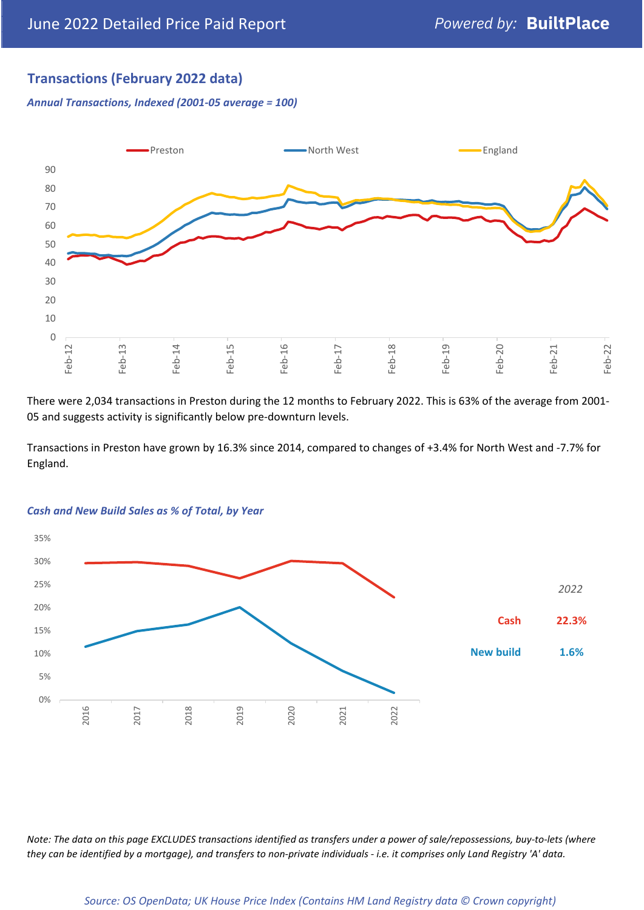# **Transactions (February 2022 data)**

*Annual Transactions, Indexed (2001-05 average = 100)*



There were 2,034 transactions in Preston during the 12 months to February 2022. This is 63% of the average from 2001- 05 and suggests activity is significantly below pre-downturn levels.

Transactions in Preston have grown by 16.3% since 2014, compared to changes of +3.4% for North West and -7.7% for England.



#### *Cash and New Build Sales as % of Total, by Year*

*Note: The data on this page EXCLUDES transactions identified as transfers under a power of sale/repossessions, buy-to-lets (where they can be identified by a mortgage), and transfers to non-private individuals - i.e. it comprises only Land Registry 'A' data.*